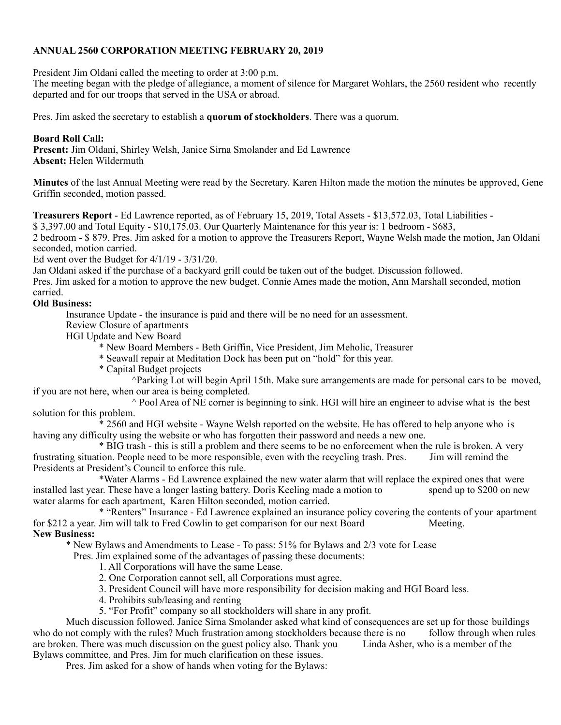## **ANNUAL 2560 CORPORATION MEETING FEBRUARY 20, 2019**

President Jim Oldani called the meeting to order at 3:00 p.m.

The meeting began with the pledge of allegiance, a moment of silence for Margaret Wohlars, the 2560 resident who recently departed and for our troops that served in the USA or abroad.

Pres. Jim asked the secretary to establish a **quorum of stockholders**. There was a quorum.

## **Board Roll Call:**

**Present:** Jim Oldani, Shirley Welsh, Janice Sirna Smolander and Ed Lawrence **Absent:** Helen Wildermuth

**Minutes** of the last Annual Meeting were read by the Secretary. Karen Hilton made the motion the minutes be approved, Gene Griffin seconded, motion passed.

**Treasurers Report** - Ed Lawrence reported, as of February 15, 2019, Total Assets - \$13,572.03, Total Liabilities - \$ 3,397.00 and Total Equity - \$10,175.03. Our Quarterly Maintenance for this year is: 1 bedroom - \$683, 2 bedroom - \$ 879. Pres. Jim asked for a motion to approve the Treasurers Report, Wayne Welsh made the motion, Jan Oldani

seconded, motion carried. Ed went over the Budget for 4/1/19 - 3/31/20.

Jan Oldani asked if the purchase of a backyard grill could be taken out of the budget. Discussion followed.

Pres. Jim asked for a motion to approve the new budget. Connie Ames made the motion, Ann Marshall seconded, motion carried.

## **Old Business:**

Insurance Update - the insurance is paid and there will be no need for an assessment.

Review Closure of apartments

HGI Update and New Board

\* New Board Members - Beth Griffin, Vice President, Jim Meholic, Treasurer

\* Seawall repair at Meditation Dock has been put on "hold" for this year.

\* Capital Budget projects

 ^Parking Lot will begin April 15th. Make sure arrangements are made for personal cars to be moved, if you are not here, when our area is being completed.

 ^ Pool Area of NE corner is beginning to sink. HGI will hire an engineer to advise what is the best solution for this problem.

 \* 2560 and HGI website - Wayne Welsh reported on the website. He has offered to help anyone who is having any difficulty using the website or who has forgotten their password and needs a new one.

 \* BIG trash - this is still a problem and there seems to be no enforcement when the rule is broken. A very frustrating situation. People need to be more responsible, even with the recycling trash. Pres. Jim will remind the Presidents at President's Council to enforce this rule.

 \*Water Alarms - Ed Lawrence explained the new water alarm that will replace the expired ones that were installed last year. These have a longer lasting battery. Doris Keeling made a motion to spend up to \$200 on new water alarms for each apartment, Karen Hilton seconded, motion carried.

 \* "Renters" Insurance - Ed Lawrence explained an insurance policy covering the contents of your apartment for \$212 a year. Jim will talk to Fred Cowlin to get comparison for our next Board Meeting. **New Business:**

\* New Bylaws and Amendments to Lease - To pass: 51% for Bylaws and 2/3 vote for Lease

Pres. Jim explained some of the advantages of passing these documents:

1. All Corporations will have the same Lease.

- 2. One Corporation cannot sell, all Corporations must agree.
- 3. President Council will have more responsibility for decision making and HGI Board less.
- 4. Prohibits sub/leasing and renting
- 5. "For Profit" company so all stockholders will share in any profit.

 Much discussion followed. Janice Sirna Smolander asked what kind of consequences are set up for those buildings who do not comply with the rules? Much frustration among stockholders because there is no<br>are broken. There was much discussion on the guest policy also. Thank you Linda Asher, who is a member of the are broken. There was much discussion on the guest policy also. Thank you Bylaws committee, and Pres. Jim for much clarification on these issues.

Pres. Jim asked for a show of hands when voting for the Bylaws: